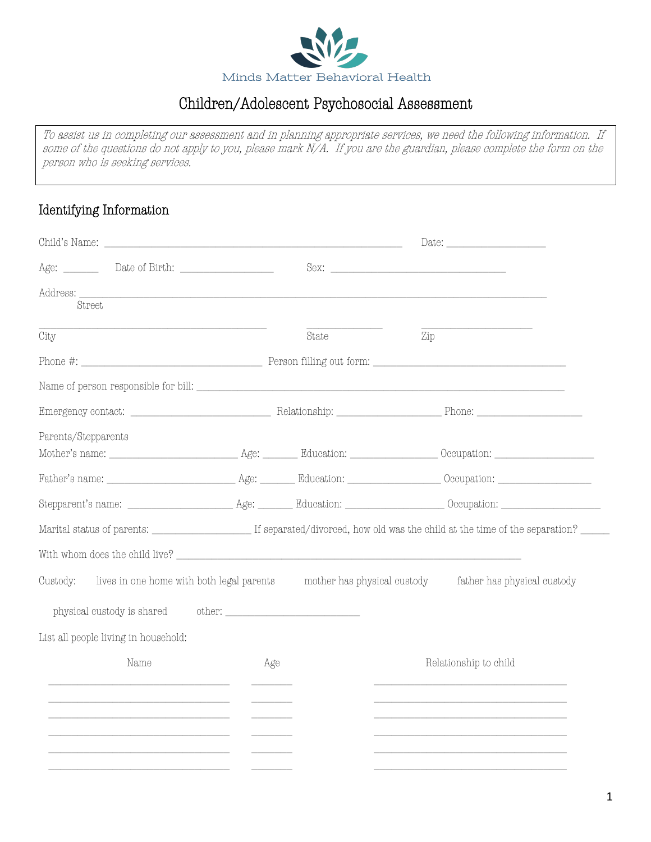

## Children/Adolescent Psychosocial Assessment

 $\overline{a}$  $\ddot{a}$  $\ddot{\phantom{0}}$ ı To assist us in completing our assessment and in planning appropriate services, we need the following information. If some of the questions do not apply to you, please mark N/A. If you are the guardian, please complete the form on the person who is seeking services.

### Identifying Information

|                                                                                                                                       |     |       |     | Date: $\frac{1}{\sqrt{1-\frac{1}{2}}\left\lceil \frac{1}{2}\right\rceil \left\lceil \frac{1}{2}\right\rceil \left\lceil \frac{1}{2}\right\rceil \left\lceil \frac{1}{2}\right\rceil \left\lceil \frac{1}{2}\right\rceil \left\lceil \frac{1}{2}\right\rceil \left\lceil \frac{1}{2}\right\rceil \left\lceil \frac{1}{2}\right\rceil \left\lceil \frac{1}{2}\right\rceil \left\lceil \frac{1}{2}\right\rceil \left\lceil \frac{1}{2}\right\rceil \left\lceil \frac{1}{2}\right\rceil \left\lceil \frac{1}{2}\right\rceil \left\$ |
|---------------------------------------------------------------------------------------------------------------------------------------|-----|-------|-----|---------------------------------------------------------------------------------------------------------------------------------------------------------------------------------------------------------------------------------------------------------------------------------------------------------------------------------------------------------------------------------------------------------------------------------------------------------------------------------------------------------------------------------|
| Age: Date of Birth:                                                                                                                   |     |       |     |                                                                                                                                                                                                                                                                                                                                                                                                                                                                                                                                 |
| Address: <u>Address and the contract of the contract of the contract of the contract of the contract of the contract of</u><br>Street |     |       |     |                                                                                                                                                                                                                                                                                                                                                                                                                                                                                                                                 |
| City                                                                                                                                  |     | State | Zip |                                                                                                                                                                                                                                                                                                                                                                                                                                                                                                                                 |
|                                                                                                                                       |     |       |     |                                                                                                                                                                                                                                                                                                                                                                                                                                                                                                                                 |
|                                                                                                                                       |     |       |     |                                                                                                                                                                                                                                                                                                                                                                                                                                                                                                                                 |
|                                                                                                                                       |     |       |     |                                                                                                                                                                                                                                                                                                                                                                                                                                                                                                                                 |
| Parents/Stepparents                                                                                                                   |     |       |     |                                                                                                                                                                                                                                                                                                                                                                                                                                                                                                                                 |
|                                                                                                                                       |     |       |     |                                                                                                                                                                                                                                                                                                                                                                                                                                                                                                                                 |
|                                                                                                                                       |     |       |     |                                                                                                                                                                                                                                                                                                                                                                                                                                                                                                                                 |
|                                                                                                                                       |     |       |     |                                                                                                                                                                                                                                                                                                                                                                                                                                                                                                                                 |
| With whom does the child live?                                                                                                        |     |       |     |                                                                                                                                                                                                                                                                                                                                                                                                                                                                                                                                 |
| Custody:                                                                                                                              |     |       |     | lives in one home with both legal parents mother has physical custody father has physical custody                                                                                                                                                                                                                                                                                                                                                                                                                               |
|                                                                                                                                       |     |       |     |                                                                                                                                                                                                                                                                                                                                                                                                                                                                                                                                 |
| List all people living in household:                                                                                                  |     |       |     |                                                                                                                                                                                                                                                                                                                                                                                                                                                                                                                                 |
| Name                                                                                                                                  | Age |       |     | Relationship to child                                                                                                                                                                                                                                                                                                                                                                                                                                                                                                           |
|                                                                                                                                       |     |       |     |                                                                                                                                                                                                                                                                                                                                                                                                                                                                                                                                 |
|                                                                                                                                       |     |       |     |                                                                                                                                                                                                                                                                                                                                                                                                                                                                                                                                 |
|                                                                                                                                       |     |       |     |                                                                                                                                                                                                                                                                                                                                                                                                                                                                                                                                 |
| <u> 1980 - John Stein, Amerikaansk politiker († 1900)</u>                                                                             |     |       |     |                                                                                                                                                                                                                                                                                                                                                                                                                                                                                                                                 |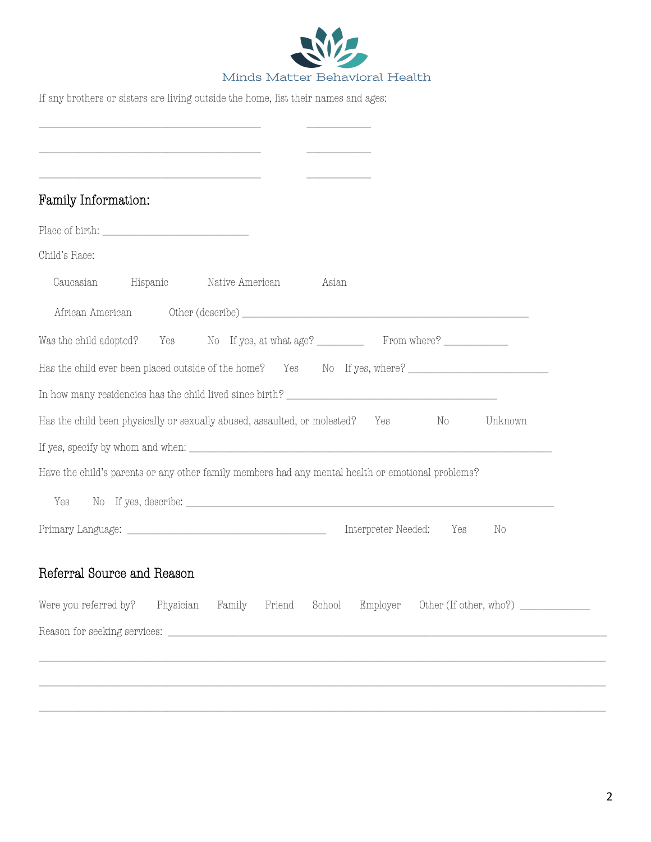

If any brothers or sisters are living outside the home, list their names and ages:

|                        | Family Information:                                                                                                                                                                       |                                                                                                                                                                                                                                   |         |
|------------------------|-------------------------------------------------------------------------------------------------------------------------------------------------------------------------------------------|-----------------------------------------------------------------------------------------------------------------------------------------------------------------------------------------------------------------------------------|---------|
|                        | $\label{eq:Place} \text{Place of birth:}\footnotesize \begin{minipage}{14cm} \begin{tabular}{ c c c } \hline \multicolumn{3}{ c }{\textbf{Place of birth:}} \end{tabular} \end{minipage}$ |                                                                                                                                                                                                                                   |         |
| Child's Race:          |                                                                                                                                                                                           |                                                                                                                                                                                                                                   |         |
| Caucasian              | Hispanic                                                                                                                                                                                  | Native American<br>Asian                                                                                                                                                                                                          |         |
| African American       |                                                                                                                                                                                           |                                                                                                                                                                                                                                   |         |
| Was the child adopted? |                                                                                                                                                                                           | Yes No If yes, at what age? From where?                                                                                                                                                                                           |         |
|                        |                                                                                                                                                                                           | Has the child ever been placed outside of the home? Yes No If yes, where?                                                                                                                                                         |         |
|                        |                                                                                                                                                                                           |                                                                                                                                                                                                                                   |         |
|                        |                                                                                                                                                                                           |                                                                                                                                                                                                                                   |         |
|                        |                                                                                                                                                                                           | Has the child been physically or sexually abused, assaulted, or molested?<br>No<br>Yes                                                                                                                                            | Unknown |
|                        |                                                                                                                                                                                           |                                                                                                                                                                                                                                   |         |
|                        |                                                                                                                                                                                           | Have the child's parents or any other family members had any mental health or emotional problems?                                                                                                                                 |         |
| Yes                    |                                                                                                                                                                                           | No If yes, describe: $\frac{1}{2}$ is a set of the set of the set of the set of the set of the set of the set of the set of the set of the set of the set of the set of the set of the set of the set of the set of the set of th |         |
|                        |                                                                                                                                                                                           | Interpreter Needed:<br>Yes                                                                                                                                                                                                        | No      |
|                        | Referral Source and Reason                                                                                                                                                                |                                                                                                                                                                                                                                   |         |
| Were you referred by?  | Physician                                                                                                                                                                                 | Family<br>School<br>Employer<br>Other (If other, who?) $\_\_\_\_\_\_\_\_\_\_\_\_\_\_\_\_\_\_\_\_\_\_\_\_\_\_\_\_\_$<br>Friend                                                                                                     |         |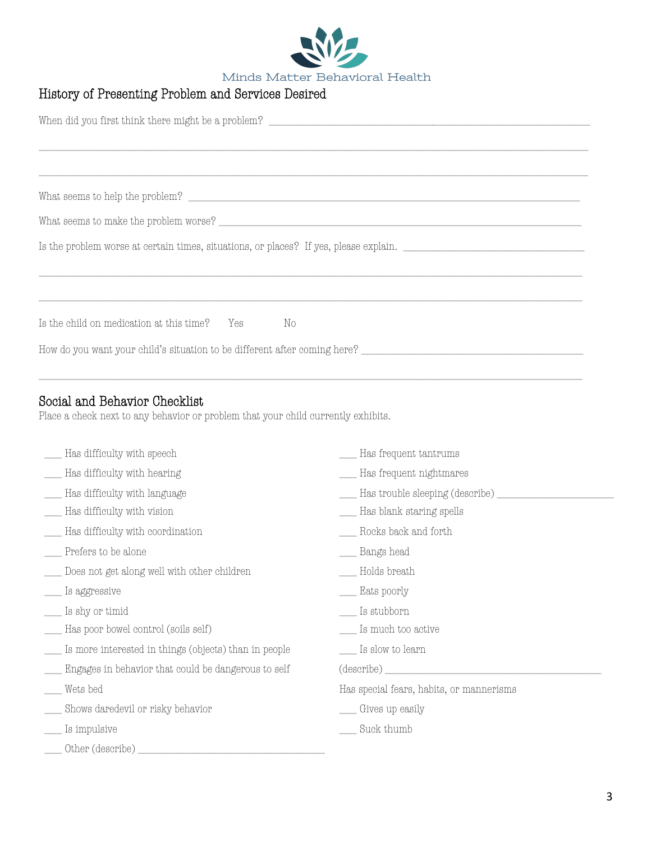

### History of Presenting Problem and Services Desired

| $\hbox{What seems to help the problem?}\hskip .2in \rule{2.2cm}{0.2cm}$           |
|-----------------------------------------------------------------------------------|
|                                                                                   |
|                                                                                   |
|                                                                                   |
|                                                                                   |
| Is the child on medication at this time? Yes No                                   |
|                                                                                   |
|                                                                                   |
| Social and Behavior Checklist                                                     |
| Place a check next to any behavior or problem that your child currently exhibits. |

| Has difficulty with speech                            | Has frequent tantrums                    |
|-------------------------------------------------------|------------------------------------------|
|                                                       |                                          |
| Has difficulty with hearing                           | Has frequent nightmares                  |
| Has difficulty with language                          | Has trouble sleeping (describe)          |
| Has difficulty with vision                            | Has blank staring spells                 |
| Has difficulty with coordination                      | Rocks back and forth                     |
| Prefers to be alone                                   | Bangs head                               |
| Does not get along well with other children           | $\equiv$ Holds breath                    |
| Is aggressive                                         | __ Eats poorly                           |
| Is shy or timid                                       | $\equiv$ Is stubborn                     |
| Has poor bowel control (soils self)                   | _ Is much too active                     |
| Is more interested in things (objects) than in people | __ Is slow to learn                      |
| Engages in behavior that could be dangerous to self   | (describe)                               |
| Wets bed                                              | Has special fears, habits, or mannerisms |
| Shows daredevil or risky behavior                     | Gives up easily                          |
| Is impulsive                                          | Suck thumb                               |
| Other (describe)                                      |                                          |
|                                                       |                                          |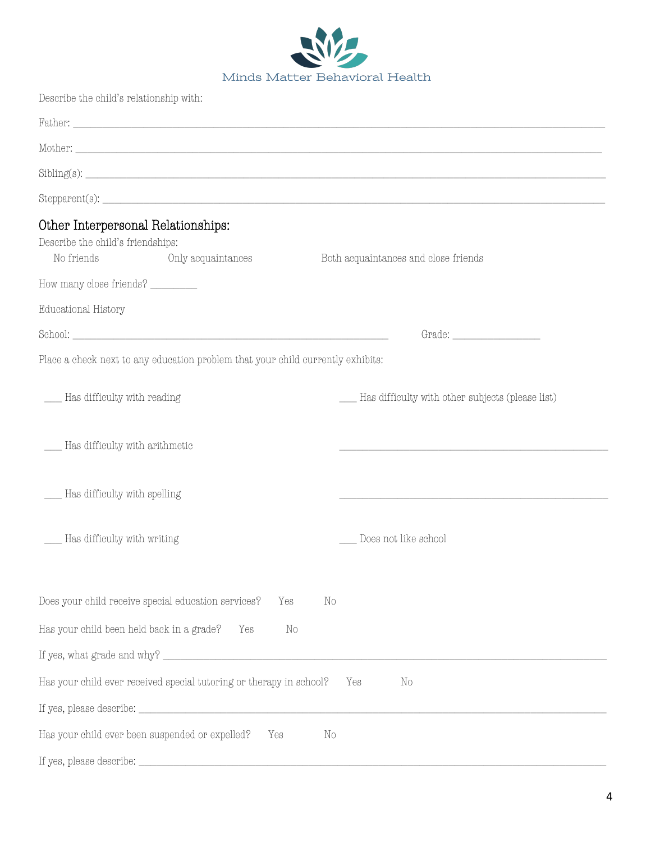

| Describe the child's relationship with:                                                                                                                                                                                                                                                                                                                                       |                                                      |
|-------------------------------------------------------------------------------------------------------------------------------------------------------------------------------------------------------------------------------------------------------------------------------------------------------------------------------------------------------------------------------|------------------------------------------------------|
|                                                                                                                                                                                                                                                                                                                                                                               |                                                      |
|                                                                                                                                                                                                                                                                                                                                                                               |                                                      |
|                                                                                                                                                                                                                                                                                                                                                                               |                                                      |
|                                                                                                                                                                                                                                                                                                                                                                               |                                                      |
| Other Interpersonal Relationships:<br>Describe the child's friendships:<br>No friends<br>Only acquaintances                                                                                                                                                                                                                                                                   | Both acquaintances and close friends                 |
| How many close friends? _________                                                                                                                                                                                                                                                                                                                                             |                                                      |
| Educational History                                                                                                                                                                                                                                                                                                                                                           |                                                      |
|                                                                                                                                                                                                                                                                                                                                                                               | Grade:                                               |
| Place a check next to any education problem that your child currently exhibits:                                                                                                                                                                                                                                                                                               |                                                      |
| ___ Has difficulty with reading                                                                                                                                                                                                                                                                                                                                               | ___ Has difficulty with other subjects (please list) |
| ___ Has difficulty with arithmetic                                                                                                                                                                                                                                                                                                                                            |                                                      |
| __ Has difficulty with spelling                                                                                                                                                                                                                                                                                                                                               |                                                      |
| Has difficulty with writing                                                                                                                                                                                                                                                                                                                                                   | Does not like school                                 |
| Does your child receive special education services?<br>Yes                                                                                                                                                                                                                                                                                                                    | $\rm No$                                             |
| Has your child been held back in a grade?<br>Yes<br>$\rm No$                                                                                                                                                                                                                                                                                                                  |                                                      |
|                                                                                                                                                                                                                                                                                                                                                                               |                                                      |
| Has your child ever received special tutoring or therapy in school?                                                                                                                                                                                                                                                                                                           | Yes<br>No                                            |
| If yes, please describe:<br>$\fbox{\parbox{1.5cm} {\begin{picture}(10,0) \put(0,0){\dashbox{0.5cm} {\begin{picture}(10,0) \put(0,0){\dashbox{0.5cm} {\bf 1}} \put(0,0){\dashbox{0.5cm} {\bf 1}} \put(1,0){\dashbox{0.5cm} {\bf 1}} \put(2,0){\dashbox{0.5cm} {\bf 1}} \put(3,0){\dashbox{0.5cm} {\bf 1}} \put(4,0){\dashbox{0.5cm} {\bf 1}} \put(5,0){\dashbox{0.5cm} {\bf 1$ |                                                      |
| Has your child ever been suspended or expelled?<br>Yes                                                                                                                                                                                                                                                                                                                        | $\mathbb{N}^{\circ}$                                 |
|                                                                                                                                                                                                                                                                                                                                                                               |                                                      |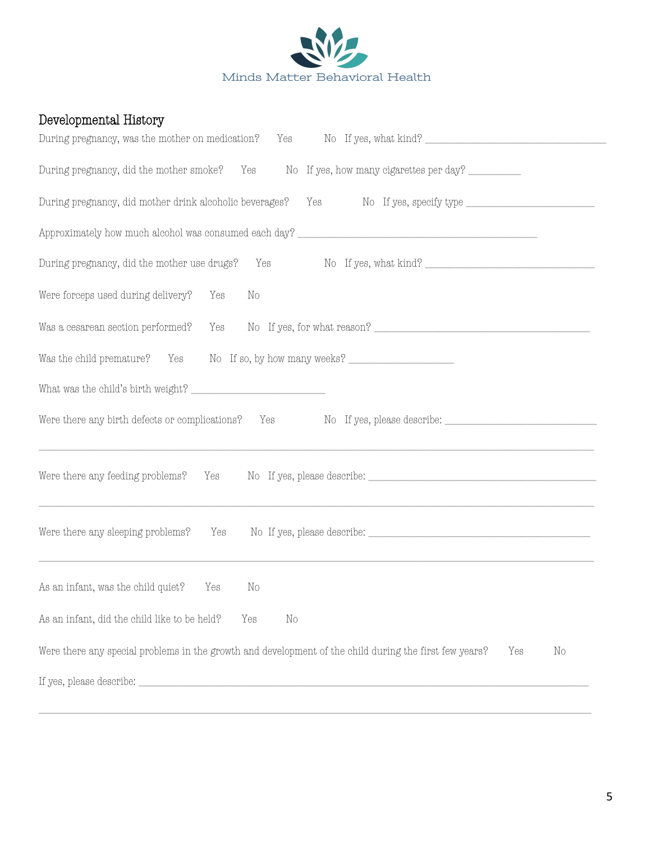

# Developmental History

| Yes No If yes, what kind?<br>During pregnancy, was the mother on medication?                                                                                                                                                 |
|------------------------------------------------------------------------------------------------------------------------------------------------------------------------------------------------------------------------------|
| During pregnancy, did the mother smoke? Yes No If yes, how many cigarettes per day?                                                                                                                                          |
| During pregnancy, did mother drink alcoholic beverages?                                                                                                                                                                      |
|                                                                                                                                                                                                                              |
| Yes No If yes, what kind?<br>During pregnancy, did the mother use drugs?                                                                                                                                                     |
| Were forceps used during delivery? Yes<br>No                                                                                                                                                                                 |
| Was a cesarean section performed?                                                                                                                                                                                            |
| Was the child premature? Yes No If so, by how many weeks? ______________________                                                                                                                                             |
|                                                                                                                                                                                                                              |
| Were there any birth defects or complications? Yes No If yes, please describe: _____________________<br><u> 1989 - Jan Samuel Barbara, margaret a shekara ta 1989 - An tsara tsa a shekara tsa a shekara tsa a shekara t</u> |
|                                                                                                                                                                                                                              |
| Were there any sleeping problems?<br>Yes                                                                                                                                                                                     |
| As an infant, was the child quiet?<br>Yes<br>No                                                                                                                                                                              |
| As an infant, did the child like to be held?<br>Yes<br>No                                                                                                                                                                    |
| Were there any special problems in the growth and development of the child during the first few years?<br>Yes<br>No                                                                                                          |
|                                                                                                                                                                                                                              |

\_\_\_\_\_\_\_\_\_\_\_\_\_\_\_\_\_\_\_\_\_\_\_\_\_\_\_\_\_\_\_\_\_\_\_\_\_\_\_\_\_\_\_\_\_\_\_\_\_\_\_\_\_\_\_\_\_\_\_\_\_\_\_\_\_\_\_\_\_\_\_\_\_\_\_\_\_\_\_\_\_\_\_\_\_\_\_\_\_\_\_\_\_\_\_\_\_\_\_\_\_\_\_\_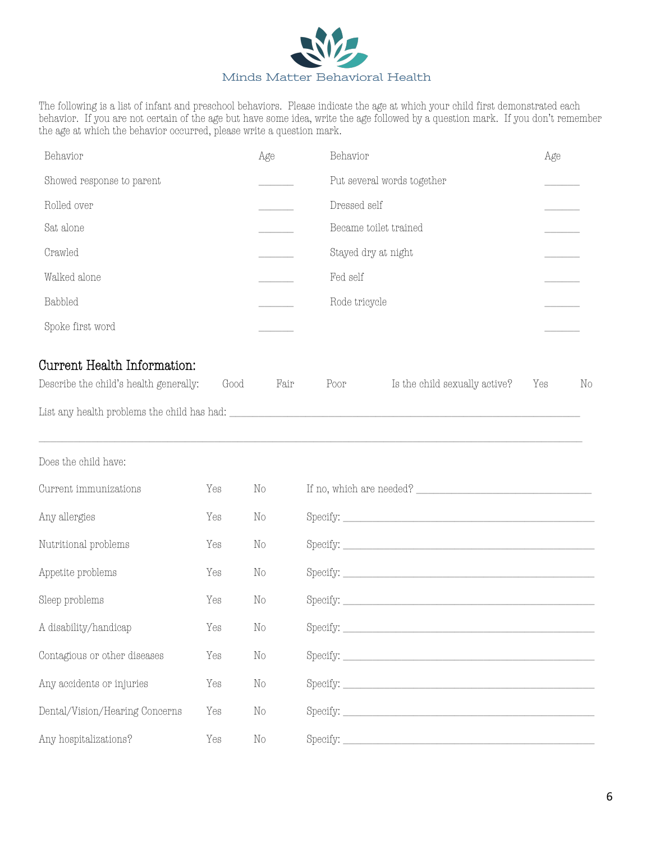

The following is a list of infant and preschool behaviors. Please indicate the age at which your child first demonstrated each behavior. If you are not certain of the age but have some idea, write the age followed by a question mark. If you don't remember the age at which the behavior occurred, please write a question mark.

| Behavior                  | Age | Behavior                   | Age |
|---------------------------|-----|----------------------------|-----|
| Showed response to parent |     | Put several words together |     |
| Rolled over               |     | Dressed self               |     |
| Sat alone                 |     | Became toilet trained      |     |
| Crawled                   |     | Stayed dry at night        |     |
| Walked alone              |     | Fed self                   |     |
| Babbled                   |     | Rode tricycle              |     |
| Spoke first word          |     |                            |     |
|                           |     |                            |     |

## Current Health Information:

| Describe the child's health generally:      | Good | Fair | Poor | Is the child sexually active? | Yes |  |
|---------------------------------------------|------|------|------|-------------------------------|-----|--|
| List any health problems the child has had: |      |      |      |                               |     |  |

| Does the child have:           |     |          |                                                                                                                                                                                                                                                                                                                                                                                                                                                                                                                                                        |
|--------------------------------|-----|----------|--------------------------------------------------------------------------------------------------------------------------------------------------------------------------------------------------------------------------------------------------------------------------------------------------------------------------------------------------------------------------------------------------------------------------------------------------------------------------------------------------------------------------------------------------------|
| Current immunizations          | Yes | No       |                                                                                                                                                                                                                                                                                                                                                                                                                                                                                                                                                        |
| Any allergies                  | Yes | No       |                                                                                                                                                                                                                                                                                                                                                                                                                                                                                                                                                        |
| Nutritional problems           | Yes | $\rm No$ | $\textit{Specify:}\; \underline{\hspace{2.5cm}} \qquad \qquad \underline{\hspace{2.5cm}} \qquad \qquad \underline{\hspace{2.5cm}} \qquad \qquad \underline{\hspace{2.5cm}} \qquad \qquad \underline{\hspace{2.5cm}} \qquad \qquad \underline{\hspace{2.5cm}} \qquad \qquad \underline{\hspace{2.5cm}} \qquad \qquad \underline{\hspace{2.5cm}} \qquad \qquad \underline{\hspace{2.5cm}} \qquad \qquad \underline{\hspace{2.5cm}} \qquad \qquad \underline{\hspace{2.5cm}} \qquad \qquad \underline{\hspace{2.5cm}} \qquad \qquad \underline{\hspace{2$ |
| Appetite problems              | Yes | No       |                                                                                                                                                                                                                                                                                                                                                                                                                                                                                                                                                        |
| Sleep problems                 | Yes | No       |                                                                                                                                                                                                                                                                                                                                                                                                                                                                                                                                                        |
| A disability/handicap          | Yes | No       | $\textit{Specify:}\; \underline{\hspace{2.5cm}} \qquad \qquad \underline{\hspace{2.5cm}} \qquad \qquad \underline{\hspace{2.5cm}} \qquad \qquad \underline{\hspace{2.5cm}} \qquad \qquad \underline{\hspace{2.5cm}} \qquad \qquad \underline{\hspace{2.5cm}} \qquad \qquad \underline{\hspace{2.5cm}} \qquad \qquad \underline{\hspace{2.5cm}} \qquad \qquad \underline{\hspace{2.5cm}} \qquad \qquad \underline{\hspace{2.5cm}} \qquad \qquad \underline{\hspace{2.5cm}} \qquad \qquad \underline{\hspace{2.5cm}} \qquad \qquad \underline{\hspace{2$ |
| Contagious or other diseases   | Yes | No       |                                                                                                                                                                                                                                                                                                                                                                                                                                                                                                                                                        |
| Any accidents or injuries      | Yes | No       |                                                                                                                                                                                                                                                                                                                                                                                                                                                                                                                                                        |
| Dental/Vision/Hearing Concerns | Yes | No       |                                                                                                                                                                                                                                                                                                                                                                                                                                                                                                                                                        |
| Any hospitalizations?          | Yes | $\rm No$ |                                                                                                                                                                                                                                                                                                                                                                                                                                                                                                                                                        |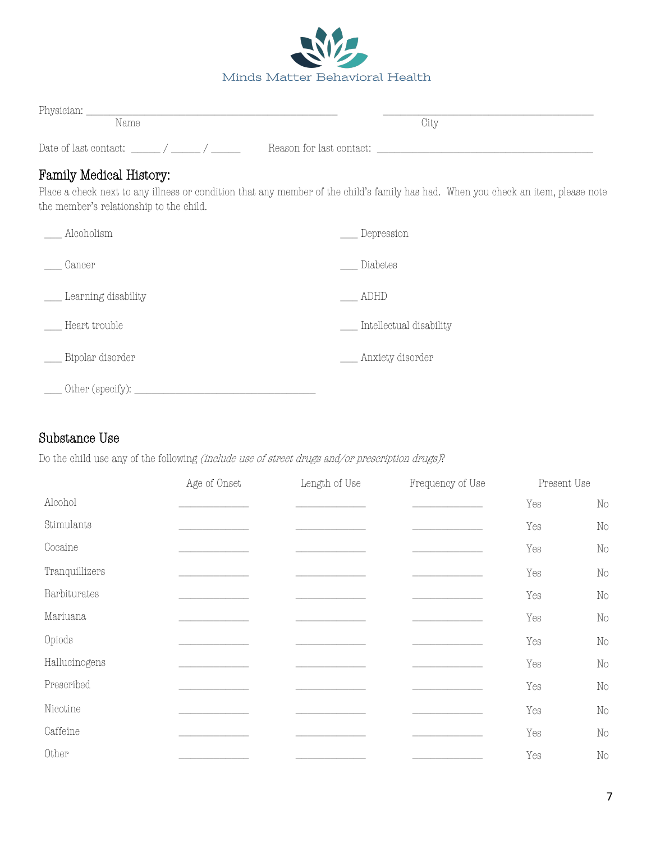

| Physician:            |                          |
|-----------------------|--------------------------|
| Name                  | City                     |
| Date of last contact: | Reason for last contact: |

#### Family Medical History:

Place a check next to any illness or condition that any member of the child's family has had. When you check an item, please note the member's relationship to the child.

| Alcoholism          | Depression              |
|---------------------|-------------------------|
| Cancer              | Diabetes                |
| Learning disability | ADHD                    |
| Heart trouble       | Intellectual disability |
| Bipolar disorder    | Anxiety disorder        |
| Other (specify):    |                         |

### Substance Use

Do the child use any of the following *(include use of street drugs and/or prescription drugs)*?

|                | Age of Onset | Length of Use | Frequency of Use | Present Use |          |
|----------------|--------------|---------------|------------------|-------------|----------|
| Alcohol        |              |               |                  | Yes         | $\rm No$ |
| Stimulants     |              |               |                  | Yes         | $\rm No$ |
| Cocaine        |              |               |                  | Yes         | $\rm No$ |
| Tranquillizers |              |               |                  | Yes         | $\rm No$ |
| Barbiturates   |              |               |                  | Yes         | $\rm No$ |
| Mariuana       |              |               |                  | Yes         | $\rm No$ |
| Opiods         |              |               |                  | Yes         | $\rm No$ |
| Hallucinogens  |              |               |                  | Yes         | $\rm No$ |
| Prescribed     |              |               |                  | Yes         | $\rm No$ |
| Nicotine       |              |               |                  | Yes         | $\rm No$ |
| Caffeine       |              |               |                  | Yes         | $\rm No$ |
| Other          |              |               |                  | Yes         | $\rm No$ |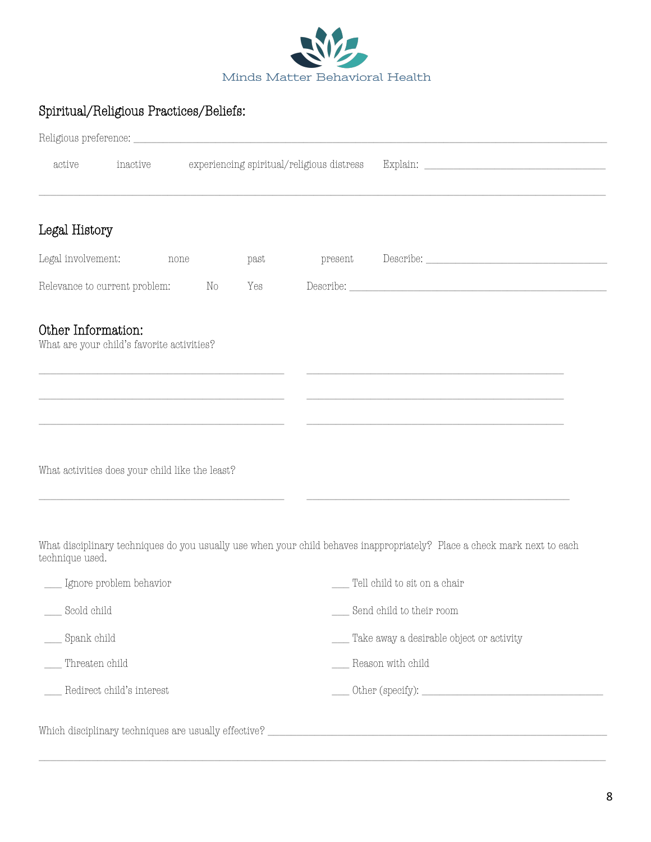

# Spiritual/Religious Practices/Beliefs:

|                    |                                                                                                                                                                                                                                                                                                                                                   |                                           | Religious preference: |      |         |                                                                                                                          |  |
|--------------------|---------------------------------------------------------------------------------------------------------------------------------------------------------------------------------------------------------------------------------------------------------------------------------------------------------------------------------------------------|-------------------------------------------|-----------------------|------|---------|--------------------------------------------------------------------------------------------------------------------------|--|
| active             | inactive                                                                                                                                                                                                                                                                                                                                          | experiencing spiritual/religious distress |                       |      |         |                                                                                                                          |  |
|                    |                                                                                                                                                                                                                                                                                                                                                   |                                           |                       |      |         |                                                                                                                          |  |
| Legal History      |                                                                                                                                                                                                                                                                                                                                                   |                                           |                       |      |         |                                                                                                                          |  |
| Legal involvement: |                                                                                                                                                                                                                                                                                                                                                   | none                                      |                       | past | present |                                                                                                                          |  |
|                    | Relevance to current problem: No                                                                                                                                                                                                                                                                                                                  |                                           |                       | Yes  |         |                                                                                                                          |  |
| Other Information: | What are your child's favorite activities?                                                                                                                                                                                                                                                                                                        |                                           |                       |      |         |                                                                                                                          |  |
|                    |                                                                                                                                                                                                                                                                                                                                                   |                                           |                       |      |         |                                                                                                                          |  |
|                    | the control of the control of the control of the control of the control of the control of the control of the control of the control of the control of the control of the control of the control of the control of the control<br>and the control of the control of the control of the control of the control of the control of the control of the |                                           |                       |      |         | and the control of the control of the control of the control of the control of the control of the control of the         |  |
|                    | What activities does your child like the least?                                                                                                                                                                                                                                                                                                   |                                           |                       |      |         |                                                                                                                          |  |
| technique used.    |                                                                                                                                                                                                                                                                                                                                                   |                                           |                       |      |         | What disciplinary techniques do you usually use when your child behaves inappropriately? Place a check mark next to each |  |
|                    | Ignore problem behavior                                                                                                                                                                                                                                                                                                                           |                                           |                       |      |         | Tell child to sit on a chair                                                                                             |  |
| $\_$ Scold child   |                                                                                                                                                                                                                                                                                                                                                   |                                           |                       |      |         | _ Send child to their room                                                                                               |  |
| __ Spank child     |                                                                                                                                                                                                                                                                                                                                                   |                                           |                       |      |         | Take away a desirable object or activity                                                                                 |  |
| Threaten child     |                                                                                                                                                                                                                                                                                                                                                   |                                           |                       |      |         | Reason with child                                                                                                        |  |

 $\_$  ,  $\_$  ,  $\_$  ,  $\_$  ,  $\_$  ,  $\_$  ,  $\_$  ,  $\_$  ,  $\_$  ,  $\_$  ,  $\_$  ,  $\_$  ,  $\_$  ,  $\_$  ,  $\_$  ,  $\_$  ,  $\_$  ,  $\_$  ,  $\_$  ,  $\_$  ,  $\_$  ,  $\_$  ,  $\_$  ,  $\_$  ,  $\_$  ,  $\_$  ,  $\_$  ,  $\_$  ,  $\_$  ,  $\_$  ,  $\_$  ,  $\_$  ,  $\_$  ,  $\_$  ,  $\_$  ,  $\_$  ,  $\_$  ,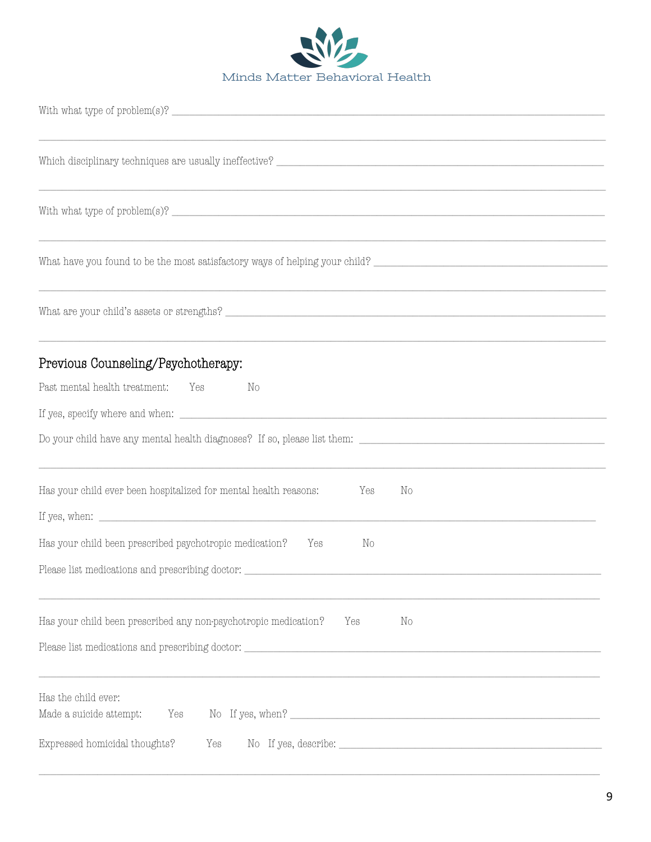

| Previous Counseling/Psychotherapy:<br>Past mental health treatment:<br>Yes<br>No                                                                                                                                                                                                                                   |
|--------------------------------------------------------------------------------------------------------------------------------------------------------------------------------------------------------------------------------------------------------------------------------------------------------------------|
|                                                                                                                                                                                                                                                                                                                    |
| Has your child ever been hospitalized for mental health reasons:<br>Yes<br>No<br>If yes, when: $\frac{1}{2}$ is the set of the set of the set of the set of the set of the set of the set of the set of the set of the set of the set of the set of the set of the set of the set of the set of the set of the set |
| Has your child been prescribed psychotropic medication?<br>Yes<br>No<br>Please list medications and prescribing doctor:                                                                                                                                                                                            |
| Has your child been prescribed any non-psychotropic medication?<br>Yes<br>No                                                                                                                                                                                                                                       |
| Has the child ever:<br>Made a suicide attempt:<br>Yes                                                                                                                                                                                                                                                              |
| Expressed homicidal thoughts?<br>Yes                                                                                                                                                                                                                                                                               |